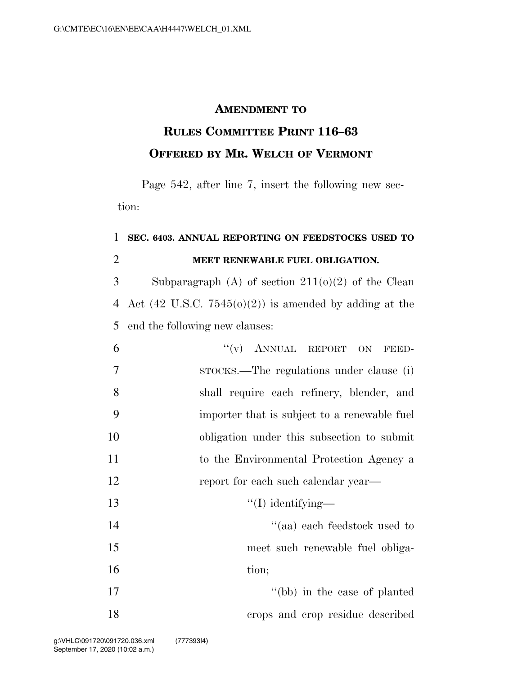## **AMENDMENT TO**

## **RULES COMMITTEE PRINT 116–63 OFFERED BY MR. WELCH OF VERMONT**

Page 542, after line 7, insert the following new section:

## **SEC. 6403. ANNUAL REPORTING ON FEEDSTOCKS USED TO MEET RENEWABLE FUEL OBLIGATION.**

3 Subparagraph (A) of section  $211(0)(2)$  of the Clean 4 Act (42 U.S.C.  $7545(0)(2)$ ) is amended by adding at the end the following new clauses:

| 6              | "(v) ANNUAL REPORT ON FEED-                  |
|----------------|----------------------------------------------|
| $\overline{7}$ | strocks.—The regulations under clause (i)    |
| 8              | shall require each refinery, blender, and    |
| 9              | importer that is subject to a renewable fuel |
| 10             | obligation under this subsection to submit   |
| 11             | to the Environmental Protection Agency a     |
| 12             | report for each such calendar year—          |
| 13             | $\lq (I)$ identifying—                       |
| 14             | "(aa) each feedstock used to                 |
| 15             | meet such renewable fuel obliga-             |
| 16             | tion;                                        |
| 17             | "(bb) in the case of planted                 |
| 18             | crops and crop residue described             |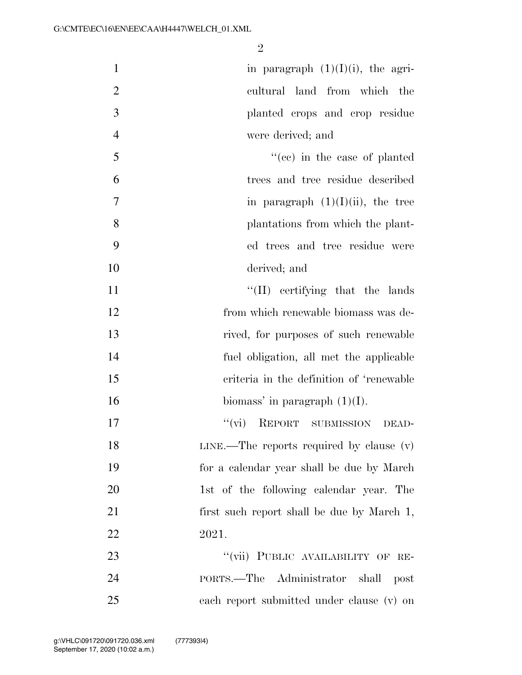| $\mathbf{1}$   | in paragraph $(1)(I)(i)$ , the agri-         |
|----------------|----------------------------------------------|
| $\overline{2}$ | cultural land from which the                 |
| 3              | planted crops and crop residue               |
| $\overline{4}$ | were derived; and                            |
| 5              | "(cc) in the case of planted                 |
| 6              | trees and tree residue described             |
| 7              | in paragraph $(1)(I)(ii)$ , the tree         |
| 8              | plantations from which the plant-            |
| 9              | ed trees and tree residue were               |
| 10             | derived; and                                 |
| 11             | $\lq\lq$ (II) certifying that the lands      |
| 12             | from which renewable biomass was de-         |
| 13             | rived, for purposes of such renewable        |
| 14             | fuel obligation, all met the applicable      |
| 15             | criteria in the definition of 'renewable     |
| 16             | biomass' in paragraph $(1)(I)$ .             |
| 17             | "(vi) REPORT SUBMISSION DEAD-                |
| 18             | $LINE$ —The reports required by clause $(v)$ |
| 19             | for a calendar year shall be due by March    |
| 20             | 1st of the following calendar year. The      |
| 21             | first such report shall be due by March 1,   |
| 22             | 2021.                                        |
| 23             | "(vii) PUBLIC AVAILABILITY OF RE-            |
| 24             | PORTS.—The Administrator shall<br>post       |
| 25             | each report submitted under clause (v) on    |